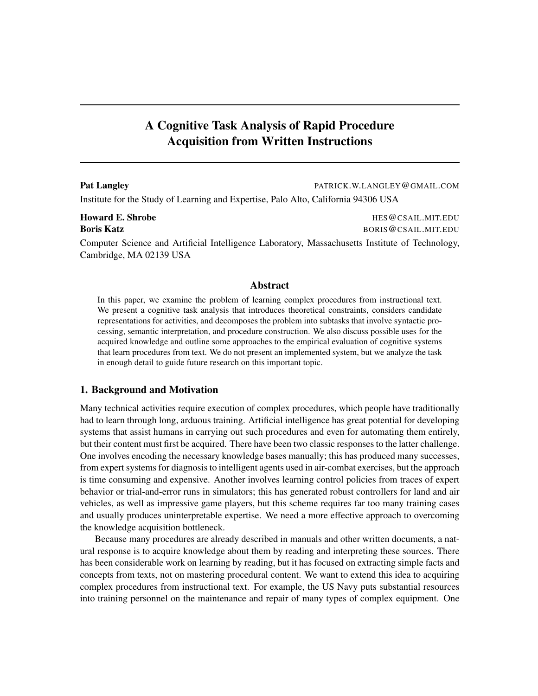# A Cognitive Task Analysis of Rapid Procedure Acquisition from Written Instructions

| <b>Pat Langley</b>                                                                 | PATRICK.W.LANGLEY@GMAIL.COM |
|------------------------------------------------------------------------------------|-----------------------------|
| Institute for the Study of Learning and Expertise, Palo Alto, California 94306 USA |                             |
| <b>Howard E. Shrobe</b>                                                            | HES @ CSAIL.MIT.EDU         |

**Boris Katz** BORIS @CSAIL.MIT.EDU Computer Science and Artificial Intelligence Laboratory, Massachusetts Institute of Technology, Cambridge, MA 02139 USA

## Abstract

In this paper, we examine the problem of learning complex procedures from instructional text. We present a cognitive task analysis that introduces theoretical constraints, considers candidate representations for activities, and decomposes the problem into subtasks that involve syntactic processing, semantic interpretation, and procedure construction. We also discuss possible uses for the acquired knowledge and outline some approaches to the empirical evaluation of cognitive systems that learn procedures from text. We do not present an implemented system, but we analyze the task in enough detail to guide future research on this important topic.

## 1. Background and Motivation

Many technical activities require execution of complex procedures, which people have traditionally had to learn through long, arduous training. Artificial intelligence has great potential for developing systems that assist humans in carrying out such procedures and even for automating them entirely, but their content must first be acquired. There have been two classic responses to the latter challenge. One involves encoding the necessary knowledge bases manually; this has produced many successes, from expert systems for diagnosis to intelligent agents used in air-combat exercises, but the approach is time consuming and expensive. Another involves learning control policies from traces of expert behavior or trial-and-error runs in simulators; this has generated robust controllers for land and air vehicles, as well as impressive game players, but this scheme requires far too many training cases and usually produces uninterpretable expertise. We need a more effective approach to overcoming the knowledge acquisition bottleneck.

Because many procedures are already described in manuals and other written documents, a natural response is to acquire knowledge about them by reading and interpreting these sources. There has been considerable work on learning by reading, but it has focused on extracting simple facts and concepts from texts, not on mastering procedural content. We want to extend this idea to acquiring complex procedures from instructional text. For example, the US Navy puts substantial resources into training personnel on the maintenance and repair of many types of complex equipment. One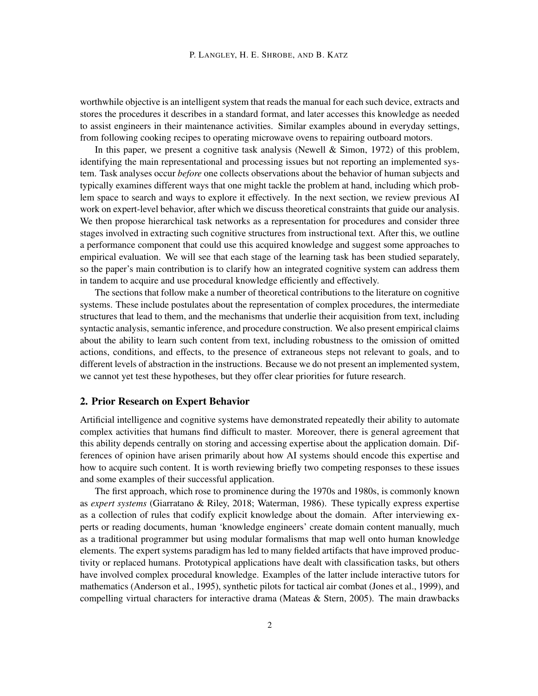worthwhile objective is an intelligent system that reads the manual for each such device, extracts and stores the procedures it describes in a standard format, and later accesses this knowledge as needed to assist engineers in their maintenance activities. Similar examples abound in everyday settings, from following cooking recipes to operating microwave ovens to repairing outboard motors.

In this paper, we present a cognitive task analysis (Newell & Simon, 1972) of this problem, identifying the main representational and processing issues but not reporting an implemented system. Task analyses occur *before* one collects observations about the behavior of human subjects and typically examines different ways that one might tackle the problem at hand, including which problem space to search and ways to explore it effectively. In the next section, we review previous AI work on expert-level behavior, after which we discuss theoretical constraints that guide our analysis. We then propose hierarchical task networks as a representation for procedures and consider three stages involved in extracting such cognitive structures from instructional text. After this, we outline a performance component that could use this acquired knowledge and suggest some approaches to empirical evaluation. We will see that each stage of the learning task has been studied separately, so the paper's main contribution is to clarify how an integrated cognitive system can address them in tandem to acquire and use procedural knowledge efficiently and effectively.

The sections that follow make a number of theoretical contributions to the literature on cognitive systems. These include postulates about the representation of complex procedures, the intermediate structures that lead to them, and the mechanisms that underlie their acquisition from text, including syntactic analysis, semantic inference, and procedure construction. We also present empirical claims about the ability to learn such content from text, including robustness to the omission of omitted actions, conditions, and effects, to the presence of extraneous steps not relevant to goals, and to different levels of abstraction in the instructions. Because we do not present an implemented system, we cannot yet test these hypotheses, but they offer clear priorities for future research.

## 2. Prior Research on Expert Behavior

Artificial intelligence and cognitive systems have demonstrated repeatedly their ability to automate complex activities that humans find difficult to master. Moreover, there is general agreement that this ability depends centrally on storing and accessing expertise about the application domain. Differences of opinion have arisen primarily about how AI systems should encode this expertise and how to acquire such content. It is worth reviewing briefly two competing responses to these issues and some examples of their successful application.

The first approach, which rose to prominence during the 1970s and 1980s, is commonly known as *expert systems* (Giarratano & Riley, 2018; Waterman, 1986). These typically express expertise as a collection of rules that codify explicit knowledge about the domain. After interviewing experts or reading documents, human 'knowledge engineers' create domain content manually, much as a traditional programmer but using modular formalisms that map well onto human knowledge elements. The expert systems paradigm has led to many fielded artifacts that have improved productivity or replaced humans. Prototypical applications have dealt with classification tasks, but others have involved complex procedural knowledge. Examples of the latter include interactive tutors for mathematics (Anderson et al., 1995), synthetic pilots for tactical air combat (Jones et al., 1999), and compelling virtual characters for interactive drama (Mateas  $\&$  Stern, 2005). The main drawbacks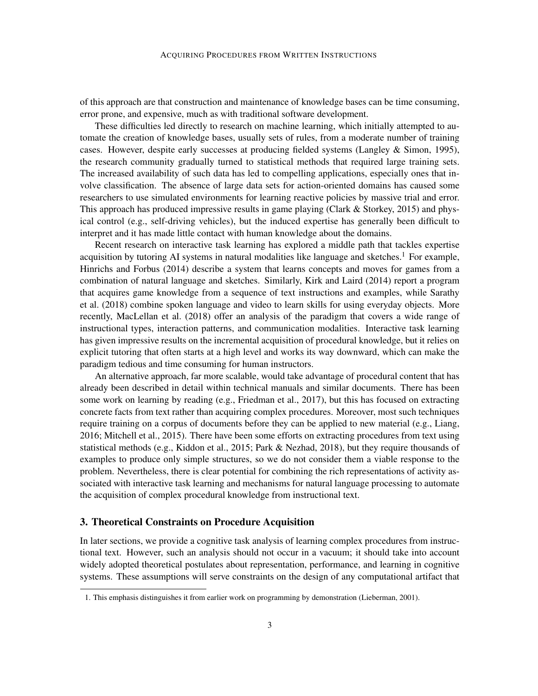of this approach are that construction and maintenance of knowledge bases can be time consuming, error prone, and expensive, much as with traditional software development.

These difficulties led directly to research on machine learning, which initially attempted to automate the creation of knowledge bases, usually sets of rules, from a moderate number of training cases. However, despite early successes at producing fielded systems (Langley & Simon, 1995), the research community gradually turned to statistical methods that required large training sets. The increased availability of such data has led to compelling applications, especially ones that involve classification. The absence of large data sets for action-oriented domains has caused some researchers to use simulated environments for learning reactive policies by massive trial and error. This approach has produced impressive results in game playing (Clark  $&$  Storkey, 2015) and physical control (e.g., self-driving vehicles), but the induced expertise has generally been difficult to interpret and it has made little contact with human knowledge about the domains.

Recent research on interactive task learning has explored a middle path that tackles expertise acquisition by tutoring AI systems in natural modalities like language and sketches.<sup>1</sup> For example, Hinrichs and Forbus (2014) describe a system that learns concepts and moves for games from a combination of natural language and sketches. Similarly, Kirk and Laird (2014) report a program that acquires game knowledge from a sequence of text instructions and examples, while Sarathy et al. (2018) combine spoken language and video to learn skills for using everyday objects. More recently, MacLellan et al. (2018) offer an analysis of the paradigm that covers a wide range of instructional types, interaction patterns, and communication modalities. Interactive task learning has given impressive results on the incremental acquisition of procedural knowledge, but it relies on explicit tutoring that often starts at a high level and works its way downward, which can make the paradigm tedious and time consuming for human instructors.

An alternative approach, far more scalable, would take advantage of procedural content that has already been described in detail within technical manuals and similar documents. There has been some work on learning by reading (e.g., Friedman et al., 2017), but this has focused on extracting concrete facts from text rather than acquiring complex procedures. Moreover, most such techniques require training on a corpus of documents before they can be applied to new material (e.g., Liang, 2016; Mitchell et al., 2015). There have been some efforts on extracting procedures from text using statistical methods (e.g., Kiddon et al., 2015; Park & Nezhad, 2018), but they require thousands of examples to produce only simple structures, so we do not consider them a viable response to the problem. Nevertheless, there is clear potential for combining the rich representations of activity associated with interactive task learning and mechanisms for natural language processing to automate the acquisition of complex procedural knowledge from instructional text.

## 3. Theoretical Constraints on Procedure Acquisition

In later sections, we provide a cognitive task analysis of learning complex procedures from instructional text. However, such an analysis should not occur in a vacuum; it should take into account widely adopted theoretical postulates about representation, performance, and learning in cognitive systems. These assumptions will serve constraints on the design of any computational artifact that

<sup>1.</sup> This emphasis distinguishes it from earlier work on programming by demonstration (Lieberman, 2001).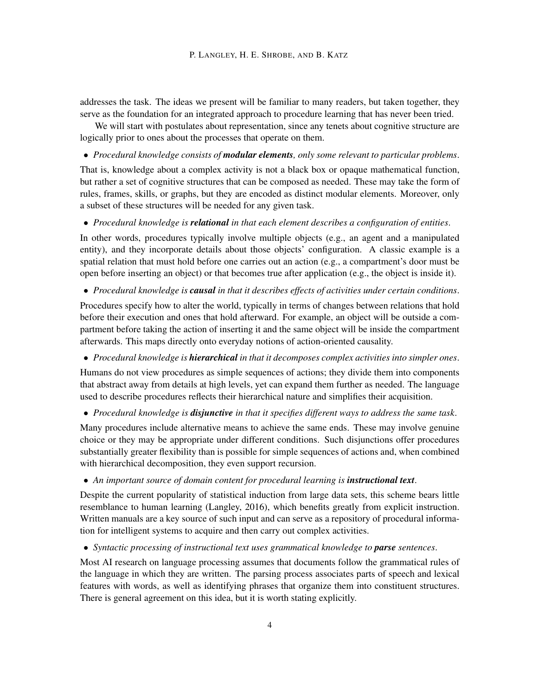addresses the task. The ideas we present will be familiar to many readers, but taken together, they serve as the foundation for an integrated approach to procedure learning that has never been tried.

We will start with postulates about representation, since any tenets about cognitive structure are logically prior to ones about the processes that operate on them.

• *Procedural knowledge consists of modular elements, only some relevant to particular problems*.

That is, knowledge about a complex activity is not a black box or opaque mathematical function, but rather a set of cognitive structures that can be composed as needed. These may take the form of rules, frames, skills, or graphs, but they are encoded as distinct modular elements. Moreover, only a subset of these structures will be needed for any given task.

• *Procedural knowledge is relational in that each element describes a configuration of entities*.

In other words, procedures typically involve multiple objects (e.g., an agent and a manipulated entity), and they incorporate details about those objects' configuration. A classic example is a spatial relation that must hold before one carries out an action (e.g., a compartment's door must be open before inserting an object) or that becomes true after application (e.g., the object is inside it).

• *Procedural knowledge is causal in that it describes effects of activities under certain conditions*.

Procedures specify how to alter the world, typically in terms of changes between relations that hold before their execution and ones that hold afterward. For example, an object will be outside a compartment before taking the action of inserting it and the same object will be inside the compartment afterwards. This maps directly onto everyday notions of action-oriented causality.

• *Procedural knowledge is hierarchical in that it decomposes complex activities into simpler ones*.

Humans do not view procedures as simple sequences of actions; they divide them into components that abstract away from details at high levels, yet can expand them further as needed. The language used to describe procedures reflects their hierarchical nature and simplifies their acquisition.

• *Procedural knowledge is disjunctive in that it specifies different ways to address the same task*.

Many procedures include alternative means to achieve the same ends. These may involve genuine choice or they may be appropriate under different conditions. Such disjunctions offer procedures substantially greater flexibility than is possible for simple sequences of actions and, when combined with hierarchical decomposition, they even support recursion.

• An important source of domain content for procedural learning is **instructional text**.

Despite the current popularity of statistical induction from large data sets, this scheme bears little resemblance to human learning (Langley, 2016), which benefits greatly from explicit instruction. Written manuals are a key source of such input and can serve as a repository of procedural information for intelligent systems to acquire and then carry out complex activities.

• *Syntactic processing of instructional text uses grammatical knowledge to parse sentences*.

Most AI research on language processing assumes that documents follow the grammatical rules of the language in which they are written. The parsing process associates parts of speech and lexical features with words, as well as identifying phrases that organize them into constituent structures. There is general agreement on this idea, but it is worth stating explicitly.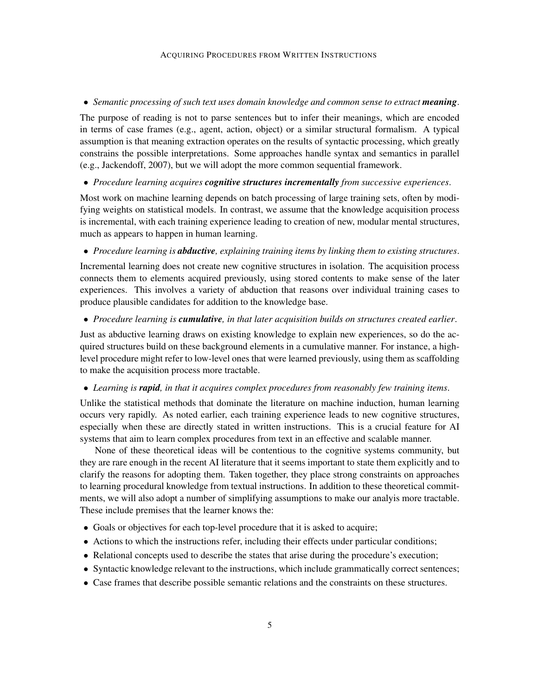#### ACQUIRING PROCEDURES FROM WRITTEN INSTRUCTIONS

## • Semantic processing of such text uses domain knowledge and common sense to extract **meaning**.

The purpose of reading is not to parse sentences but to infer their meanings, which are encoded in terms of case frames (e.g., agent, action, object) or a similar structural formalism. A typical assumption is that meaning extraction operates on the results of syntactic processing, which greatly constrains the possible interpretations. Some approaches handle syntax and semantics in parallel (e.g., Jackendoff, 2007), but we will adopt the more common sequential framework.

• *Procedure learning acquires cognitive structures incrementally from successive experiences*.

Most work on machine learning depends on batch processing of large training sets, often by modifying weights on statistical models. In contrast, we assume that the knowledge acquisition process is incremental, with each training experience leading to creation of new, modular mental structures, much as appears to happen in human learning.

• *Procedure learning is abductive, explaining training items by linking them to existing structures*.

Incremental learning does not create new cognitive structures in isolation. The acquisition process connects them to elements acquired previously, using stored contents to make sense of the later experiences. This involves a variety of abduction that reasons over individual training cases to produce plausible candidates for addition to the knowledge base.

### • *Procedure learning is cumulative, in that later acquisition builds on structures created earlier*.

Just as abductive learning draws on existing knowledge to explain new experiences, so do the acquired structures build on these background elements in a cumulative manner. For instance, a highlevel procedure might refer to low-level ones that were learned previously, using them as scaffolding to make the acquisition process more tractable.

#### • *Learning is rapid, in that it acquires complex procedures from reasonably few training items*.

Unlike the statistical methods that dominate the literature on machine induction, human learning occurs very rapidly. As noted earlier, each training experience leads to new cognitive structures, especially when these are directly stated in written instructions. This is a crucial feature for AI systems that aim to learn complex procedures from text in an effective and scalable manner.

None of these theoretical ideas will be contentious to the cognitive systems community, but they are rare enough in the recent AI literature that it seems important to state them explicitly and to clarify the reasons for adopting them. Taken together, they place strong constraints on approaches to learning procedural knowledge from textual instructions. In addition to these theoretical commitments, we will also adopt a number of simplifying assumptions to make our analyis more tractable. These include premises that the learner knows the:

- Goals or objectives for each top-level procedure that it is asked to acquire;
- Actions to which the instructions refer, including their effects under particular conditions;
- Relational concepts used to describe the states that arise during the procedure's execution;
- Syntactic knowledge relevant to the instructions, which include grammatically correct sentences;
- Case frames that describe possible semantic relations and the constraints on these structures.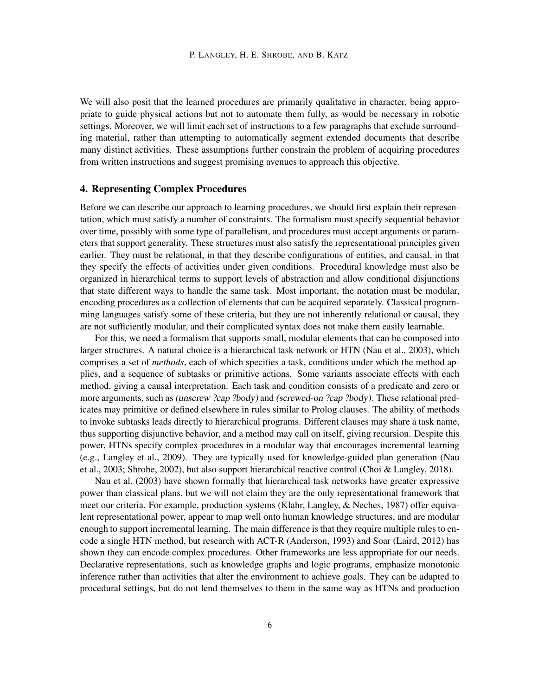We will also posit that the learned procedures are primarily qualitative in character, being appropriate to guide physical actions but not to automate them fully, as would be necessary in robotic settings. Moreover, we will limit each set of instructions to a few paragraphs that exclude surrounding material, rather than attempting to automatically segment extended documents that describe many distinct activities. These assumptions further constrain the problem of acquiring procedures from written instructions and suggest promising avenues to approach this objective.

## 4. Representing Complex Procedures

Before we can describe our approach to learning procedures, we should first explain their representation, which must satisfy a number of constraints. The formalism must specify sequential behavior over time, possibly with some type of parallelism, and procedures must accept arguments or parameters that support generality. These structures must also satisfy the representational principles given earlier. They must be relational, in that they describe configurations of entities, and causal, in that they specify the effects of activities under given conditions. Procedural knowledge must also be organized in hierarchical terms to support levels of abstraction and allow conditional disjunctions that state different ways to handle the same task. Most important, the notation must be modular, encoding procedures as a collection of elements that can be acquired separately. Classical programming languages satisfy some of these criteria, but they are not inherently relational or causal, they are not sufficiently modular, and their complicated syntax does not make them easily learnable.

For this, we need a formalism that supports small, modular elements that can be composed into larger structures. A natural choice is a hierarchical task network or HTN (Nau et al., 2003), which comprises a set of *methods*, each of which specifies a task, conditions under which the method applies, and a sequence of subtasks or primitive actions. Some variants associate effects with each method, giving a causal interpretation. Each task and condition consists of a predicate and zero or more arguments, such as (unscrew ?cap ?body) and (screwed-on ?cap ?body). These relational predicates may primitive or defined elsewhere in rules similar to Prolog clauses. The ability of methods to invoke subtasks leads directly to hierarchical programs. Different clauses may share a task name, thus supporting disjunctive behavior, and a method may call on itself, giving recursion. Despite this power, HTNs specify complex procedures in a modular way that encourages incremental learning (e.g., Langley et al., 2009). They are typically used for knowledge-guided plan generation (Nau et al., 2003; Shrobe, 2002), but also support hierarchical reactive control (Choi & Langley, 2018).

Nau et al. (2003) have shown formally that hierarchical task networks have greater expressive power than classical plans, but we will not claim they are the only representational framework that meet our criteria. For example, production systems (Klahr, Langley, & Neches, 1987) offer equivalent representational power, appear to map well onto human knowledge structures, and are modular enough to support incremental learning. The main difference is that they require multiple rules to encode a single HTN method, but research with ACT-R (Anderson, 1993) and Soar (Laird, 2012) has shown they can encode complex procedures. Other frameworks are less appropriate for our needs. Declarative representations, such as knowledge graphs and logic programs, emphasize monotonic inference rather than activities that alter the environment to achieve goals. They can be adapted to procedural settings, but do not lend themselves to them in the same way as HTNs and production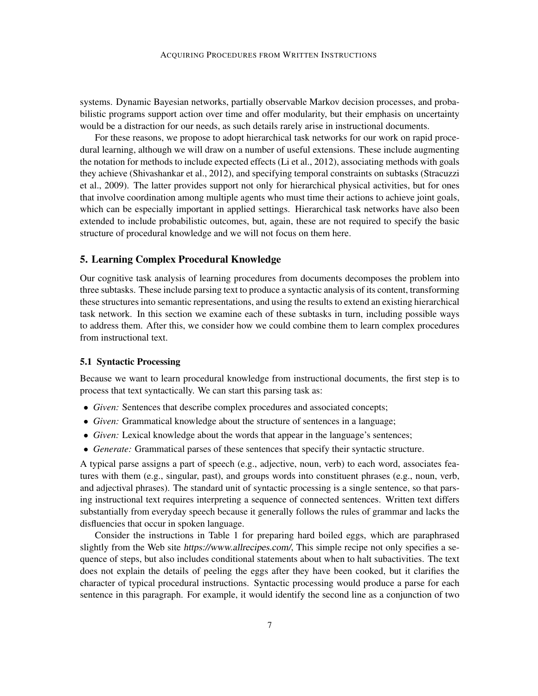systems. Dynamic Bayesian networks, partially observable Markov decision processes, and probabilistic programs support action over time and offer modularity, but their emphasis on uncertainty would be a distraction for our needs, as such details rarely arise in instructional documents.

For these reasons, we propose to adopt hierarchical task networks for our work on rapid procedural learning, although we will draw on a number of useful extensions. These include augmenting the notation for methods to include expected effects (Li et al., 2012), associating methods with goals they achieve (Shivashankar et al., 2012), and specifying temporal constraints on subtasks (Stracuzzi et al., 2009). The latter provides support not only for hierarchical physical activities, but for ones that involve coordination among multiple agents who must time their actions to achieve joint goals, which can be especially important in applied settings. Hierarchical task networks have also been extended to include probabilistic outcomes, but, again, these are not required to specify the basic structure of procedural knowledge and we will not focus on them here.

#### 5. Learning Complex Procedural Knowledge

Our cognitive task analysis of learning procedures from documents decomposes the problem into three subtasks. These include parsing text to produce a syntactic analysis of its content, transforming these structures into semantic representations, and using the results to extend an existing hierarchical task network. In this section we examine each of these subtasks in turn, including possible ways to address them. After this, we consider how we could combine them to learn complex procedures from instructional text.

#### 5.1 Syntactic Processing

Because we want to learn procedural knowledge from instructional documents, the first step is to process that text syntactically. We can start this parsing task as:

- *Given:* Sentences that describe complex procedures and associated concepts;
- *Given:* Grammatical knowledge about the structure of sentences in a language;
- *Given:* Lexical knowledge about the words that appear in the language's sentences;
- *Generate:* Grammatical parses of these sentences that specify their syntactic structure.

A typical parse assigns a part of speech (e.g., adjective, noun, verb) to each word, associates features with them (e.g., singular, past), and groups words into constituent phrases (e.g., noun, verb, and adjectival phrases). The standard unit of syntactic processing is a single sentence, so that parsing instructional text requires interpreting a sequence of connected sentences. Written text differs substantially from everyday speech because it generally follows the rules of grammar and lacks the disfluencies that occur in spoken language.

Consider the instructions in Table 1 for preparing hard boiled eggs, which are paraphrased slightly from the Web site https://www.allrecipes.com/, This simple recipe not only specifies a sequence of steps, but also includes conditional statements about when to halt subactivities. The text does not explain the details of peeling the eggs after they have been cooked, but it clarifies the character of typical procedural instructions. Syntactic processing would produce a parse for each sentence in this paragraph. For example, it would identify the second line as a conjunction of two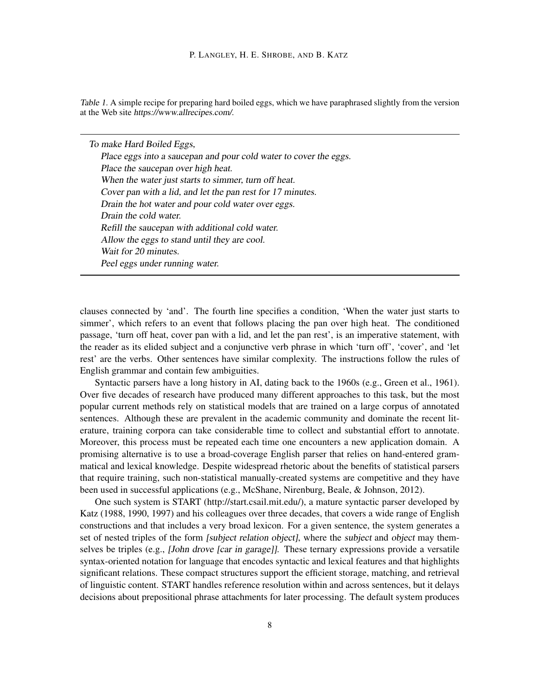Table 1. A simple recipe for preparing hard boiled eggs, which we have paraphrased slightly from the version at the Web site https://www.allrecipes.com/.

To make Hard Boiled Eggs, Place eggs into a saucepan and pour cold water to cover the eggs. Place the saucepan over high heat. When the water just starts to simmer, turn off heat. Cover pan with a lid, and let the pan rest for 17 minutes. Drain the hot water and pour cold water over eggs. Drain the cold water. Refill the saucepan with additional cold water. Allow the eggs to stand until they are cool. Wait for 20 minutes. Peel eggs under running water.

clauses connected by 'and'. The fourth line specifies a condition, 'When the water just starts to simmer', which refers to an event that follows placing the pan over high heat. The conditioned passage, 'turn off heat, cover pan with a lid, and let the pan rest', is an imperative statement, with the reader as its elided subject and a conjunctive verb phrase in which 'turn off', 'cover', and 'let rest' are the verbs. Other sentences have similar complexity. The instructions follow the rules of English grammar and contain few ambiguities.

Syntactic parsers have a long history in AI, dating back to the 1960s (e.g., Green et al., 1961). Over five decades of research have produced many different approaches to this task, but the most popular current methods rely on statistical models that are trained on a large corpus of annotated sentences. Although these are prevalent in the academic community and dominate the recent literature, training corpora can take considerable time to collect and substantial effort to annotate. Moreover, this process must be repeated each time one encounters a new application domain. A promising alternative is to use a broad-coverage English parser that relies on hand-entered grammatical and lexical knowledge. Despite widespread rhetoric about the benefits of statistical parsers that require training, such non-statistical manually-created systems are competitive and they have been used in successful applications (e.g., McShane, Nirenburg, Beale, & Johnson, 2012).

One such system is START (http://start.csail.mit.edu/), a mature syntactic parser developed by Katz (1988, 1990, 1997) and his colleagues over three decades, that covers a wide range of English constructions and that includes a very broad lexicon. For a given sentence, the system generates a set of nested triples of the form *[subject relation object]*, where the *subject* and *object* may themselves be triples (e.g., *John drove [car in garage]*]. These ternary expressions provide a versatile syntax-oriented notation for language that encodes syntactic and lexical features and that highlights significant relations. These compact structures support the efficient storage, matching, and retrieval of linguistic content. START handles reference resolution within and across sentences, but it delays decisions about prepositional phrase attachments for later processing. The default system produces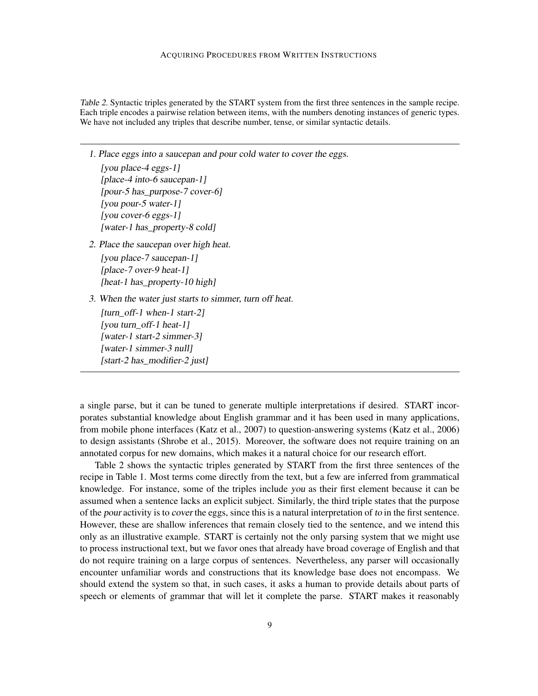Table 2. Syntactic triples generated by the START system from the first three sentences in the sample recipe. Each triple encodes a pairwise relation between items, with the numbers denoting instances of generic types. We have not included any triples that describe number, tense, or similar syntactic details.

1. Place eggs into a saucepan and pour cold water to cover the eggs.

[you place-4 eggs-1] [place-4 into-6 saucepan-1] [pour-5 has\_purpose-7 cover-6] [you pour-5 water-1] [you cover-6 eggs-1] [water-1 has\_property-8 cold]

- 2. Place the saucepan over high heat. [you place-7 saucepan-1] [place-7 over-9 heat-1] [heat-1 has\_property-10 high]
- 3. When the water just starts to simmer, turn off heat.

[turn\_off-1 when-1 start-2] [you turn\_off-1 heat-1] [water-1 start-2 simmer-3] [water-1 simmer-3 null] [start-2 has\_modifier-2 just]

a single parse, but it can be tuned to generate multiple interpretations if desired. START incorporates substantial knowledge about English grammar and it has been used in many applications, from mobile phone interfaces (Katz et al., 2007) to question-answering systems (Katz et al., 2006) to design assistants (Shrobe et al., 2015). Moreover, the software does not require training on an annotated corpus for new domains, which makes it a natural choice for our research effort.

Table 2 shows the syntactic triples generated by START from the first three sentences of the recipe in Table 1. Most terms come directly from the text, but a few are inferred from grammatical knowledge. For instance, some of the triples include you as their first element because it can be assumed when a sentence lacks an explicit subject. Similarly, the third triple states that the purpose of the pour activity is to cover the eggs, since this is a natural interpretation of to in the first sentence. However, these are shallow inferences that remain closely tied to the sentence, and we intend this only as an illustrative example. START is certainly not the only parsing system that we might use to process instructional text, but we favor ones that already have broad coverage of English and that do not require training on a large corpus of sentences. Nevertheless, any parser will occasionally encounter unfamiliar words and constructions that its knowledge base does not encompass. We should extend the system so that, in such cases, it asks a human to provide details about parts of speech or elements of grammar that will let it complete the parse. START makes it reasonably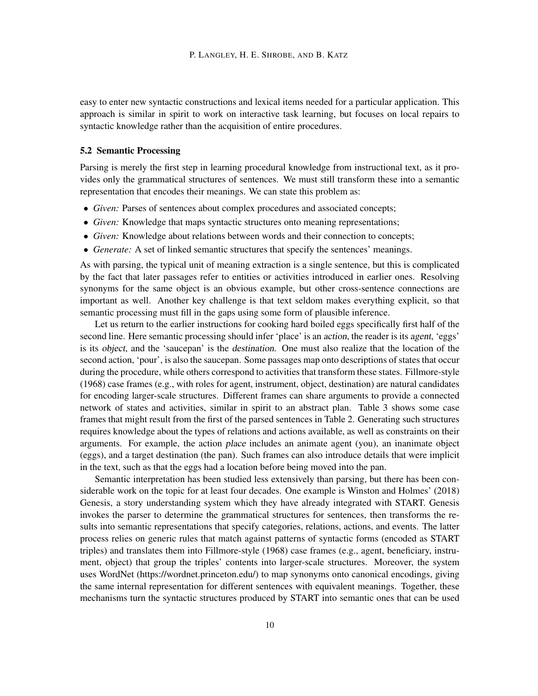easy to enter new syntactic constructions and lexical items needed for a particular application. This approach is similar in spirit to work on interactive task learning, but focuses on local repairs to syntactic knowledge rather than the acquisition of entire procedures.

## 5.2 Semantic Processing

Parsing is merely the first step in learning procedural knowledge from instructional text, as it provides only the grammatical structures of sentences. We must still transform these into a semantic representation that encodes their meanings. We can state this problem as:

- *Given:* Parses of sentences about complex procedures and associated concepts;
- *Given:* Knowledge that maps syntactic structures onto meaning representations;
- *Given:* Knowledge about relations between words and their connection to concepts;
- *Generate:* A set of linked semantic structures that specify the sentences' meanings.

As with parsing, the typical unit of meaning extraction is a single sentence, but this is complicated by the fact that later passages refer to entities or activities introduced in earlier ones. Resolving synonyms for the same object is an obvious example, but other cross-sentence connections are important as well. Another key challenge is that text seldom makes everything explicit, so that semantic processing must fill in the gaps using some form of plausible inference.

Let us return to the earlier instructions for cooking hard boiled eggs specifically first half of the second line. Here semantic processing should infer 'place' is an *action*, the reader is its agent, 'eggs' is its object, and the 'saucepan' is the destination. One must also realize that the location of the second action, 'pour', is also the saucepan. Some passages map onto descriptions of states that occur during the procedure, while others correspond to activities that transform these states. Fillmore-style (1968) case frames (e.g., with roles for agent, instrument, object, destination) are natural candidates for encoding larger-scale structures. Different frames can share arguments to provide a connected network of states and activities, similar in spirit to an abstract plan. Table 3 shows some case frames that might result from the first of the parsed sentences in Table 2. Generating such structures requires knowledge about the types of relations and actions available, as well as constraints on their arguments. For example, the action place includes an animate agent (you), an inanimate object (eggs), and a target destination (the pan). Such frames can also introduce details that were implicit in the text, such as that the eggs had a location before being moved into the pan.

Semantic interpretation has been studied less extensively than parsing, but there has been considerable work on the topic for at least four decades. One example is Winston and Holmes' (2018) Genesis, a story understanding system which they have already integrated with START. Genesis invokes the parser to determine the grammatical structures for sentences, then transforms the results into semantic representations that specify categories, relations, actions, and events. The latter process relies on generic rules that match against patterns of syntactic forms (encoded as START triples) and translates them into Fillmore-style (1968) case frames (e.g., agent, beneficiary, instrument, object) that group the triples' contents into larger-scale structures. Moreover, the system uses WordNet (https://wordnet.princeton.edu/) to map synonyms onto canonical encodings, giving the same internal representation for different sentences with equivalent meanings. Together, these mechanisms turn the syntactic structures produced by START into semantic ones that can be used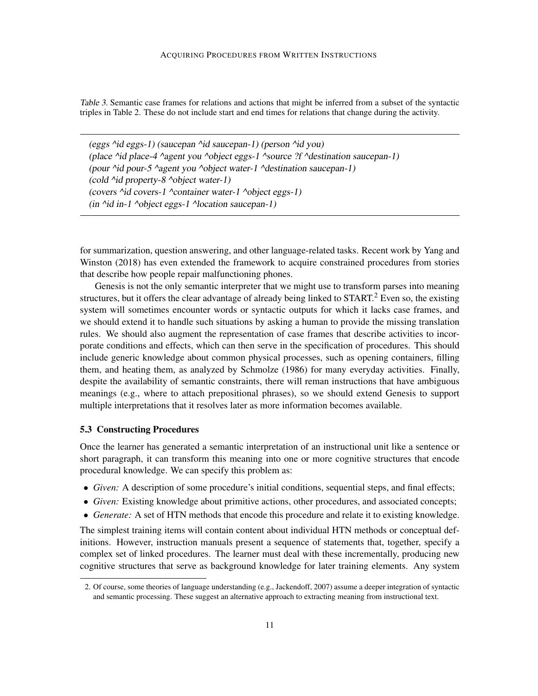Table 3. Semantic case frames for relations and actions that might be inferred from a subset of the syntactic triples in Table 2. These do not include start and end times for relations that change during the activity.

(eggs ^id eggs-1) (saucepan ^id saucepan-1) (person ^id you) (place ^id place-4 ^agent you ^object eggs-1 ^source ?f ^destination saucepan-1) (pour ^id pour-5 ^agent you ^object water-1 ^destination saucepan-1) (cold ^id property-8 ^object water-1) (covers  $\dot{\gamma}$ id covers-1  $\dot{\gamma}$ container water-1  $\dot{\gamma}$ object eggs-1) (in ^id in-1 ^object eggs-1 ^location saucepan-1)

for summarization, question answering, and other language-related tasks. Recent work by Yang and Winston (2018) has even extended the framework to acquire constrained procedures from stories that describe how people repair malfunctioning phones.

Genesis is not the only semantic interpreter that we might use to transform parses into meaning structures, but it offers the clear advantage of already being linked to  $START<sup>2</sup>$ . Even so, the existing system will sometimes encounter words or syntactic outputs for which it lacks case frames, and we should extend it to handle such situations by asking a human to provide the missing translation rules. We should also augment the representation of case frames that describe activities to incorporate conditions and effects, which can then serve in the specification of procedures. This should include generic knowledge about common physical processes, such as opening containers, filling them, and heating them, as analyzed by Schmolze (1986) for many everyday activities. Finally, despite the availability of semantic constraints, there will reman instructions that have ambiguous meanings (e.g., where to attach prepositional phrases), so we should extend Genesis to support multiple interpretations that it resolves later as more information becomes available.

## 5.3 Constructing Procedures

Once the learner has generated a semantic interpretation of an instructional unit like a sentence or short paragraph, it can transform this meaning into one or more cognitive structures that encode procedural knowledge. We can specify this problem as:

- *Given:* A description of some procedure's initial conditions, sequential steps, and final effects;
- *Given:* Existing knowledge about primitive actions, other procedures, and associated concepts;
- *Generate:* A set of HTN methods that encode this procedure and relate it to existing knowledge.

The simplest training items will contain content about individual HTN methods or conceptual definitions. However, instruction manuals present a sequence of statements that, together, specify a complex set of linked procedures. The learner must deal with these incrementally, producing new cognitive structures that serve as background knowledge for later training elements. Any system

<sup>2.</sup> Of course, some theories of language understanding (e.g., Jackendoff, 2007) assume a deeper integration of syntactic and semantic processing. These suggest an alternative approach to extracting meaning from instructional text.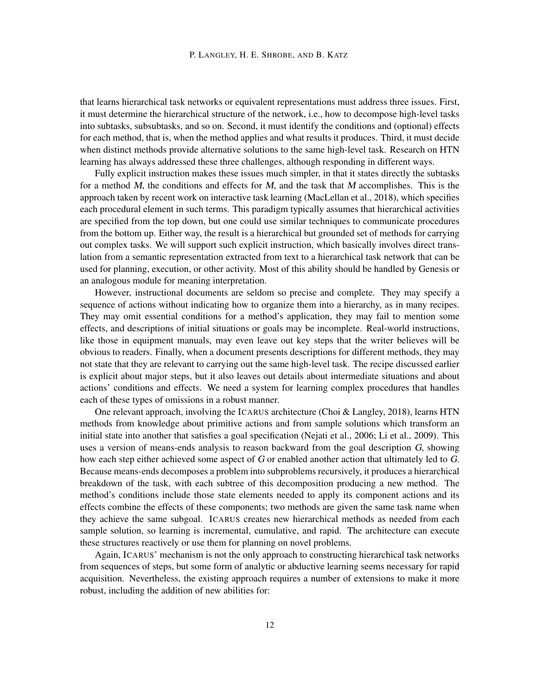that learns hierarchical task networks or equivalent representations must address three issues. First, it must determine the hierarchical structure of the network, i.e., how to decompose high-level tasks into subtasks, subsubtasks, and so on. Second, it must identify the conditions and (optional) effects for each method, that is, when the method applies and what results it produces. Third, it must decide when distinct methods provide alternative solutions to the same high-level task. Research on HTN learning has always addressed these three challenges, although responding in different ways.

Fully explicit instruction makes these issues much simpler, in that it states directly the subtasks for a method  $M$ , the conditions and effects for  $M$ , and the task that  $M$  accomplishes. This is the approach taken by recent work on interactive task learning (MacLellan et al., 2018), which specifies each procedural element in such terms. This paradigm typically assumes that hierarchical activities are specified from the top down, but one could use similar techniques to communicate procedures from the bottom up. Either way, the result is a hierarchical but grounded set of methods for carrying out complex tasks. We will support such explicit instruction, which basically involves direct translation from a semantic representation extracted from text to a hierarchical task network that can be used for planning, execution, or other activity. Most of this ability should be handled by Genesis or an analogous module for meaning interpretation.

However, instructional documents are seldom so precise and complete. They may specify a sequence of actions without indicating how to organize them into a hierarchy, as in many recipes. They may omit essential conditions for a method's application, they may fail to mention some effects, and descriptions of initial situations or goals may be incomplete. Real-world instructions, like those in equipment manuals, may even leave out key steps that the writer believes will be obvious to readers. Finally, when a document presents descriptions for different methods, they may not state that they are relevant to carrying out the same high-level task. The recipe discussed earlier is explicit about major steps, but it also leaves out details about intermediate situations and about actions' conditions and effects. We need a system for learning complex procedures that handles each of these types of omissions in a robust manner.

One relevant approach, involving the ICARUS architecture (Choi & Langley, 2018), learns HTN methods from knowledge about primitive actions and from sample solutions which transform an initial state into another that satisfies a goal specification (Nejati et al., 2006; Li et al., 2009). This uses a version of means-ends analysis to reason backward from the goal description G, showing how each step either achieved some aspect of G or enabled another action that ultimately led to G. Because means-ends decomposes a problem into subproblems recursively, it produces a hierarchical breakdown of the task, with each subtree of this decomposition producing a new method. The method's conditions include those state elements needed to apply its component actions and its effects combine the effects of these components; two methods are given the same task name when they achieve the same subgoal. ICARUS creates new hierarchical methods as needed from each sample solution, so learning is incremental, cumulative, and rapid. The architecture can execute these structures reactively or use them for planning on novel problems.

Again, ICARUS' mechanism is not the only approach to constructing hierarchical task networks from sequences of steps, but some form of analytic or abductive learning seems necessary for rapid acquisition. Nevertheless, the existing approach requires a number of extensions to make it more robust, including the addition of new abilities for: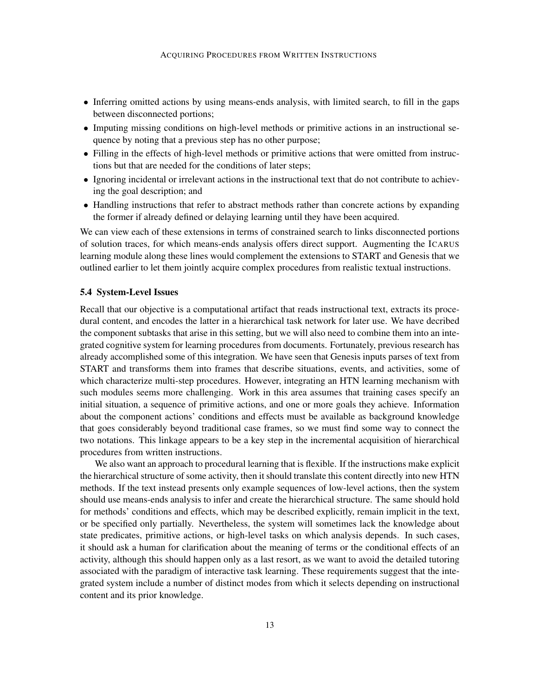- Inferring omitted actions by using means-ends analysis, with limited search, to fill in the gaps between disconnected portions;
- Imputing missing conditions on high-level methods or primitive actions in an instructional sequence by noting that a previous step has no other purpose;
- Filling in the effects of high-level methods or primitive actions that were omitted from instructions but that are needed for the conditions of later steps;
- Ignoring incidental or irrelevant actions in the instructional text that do not contribute to achieving the goal description; and
- Handling instructions that refer to abstract methods rather than concrete actions by expanding the former if already defined or delaying learning until they have been acquired.

We can view each of these extensions in terms of constrained search to links disconnected portions of solution traces, for which means-ends analysis offers direct support. Augmenting the ICARUS learning module along these lines would complement the extensions to START and Genesis that we outlined earlier to let them jointly acquire complex procedures from realistic textual instructions.

#### 5.4 System-Level Issues

Recall that our objective is a computational artifact that reads instructional text, extracts its procedural content, and encodes the latter in a hierarchical task network for later use. We have decribed the component subtasks that arise in this setting, but we will also need to combine them into an integrated cognitive system for learning procedures from documents. Fortunately, previous research has already accomplished some of this integration. We have seen that Genesis inputs parses of text from START and transforms them into frames that describe situations, events, and activities, some of which characterize multi-step procedures. However, integrating an HTN learning mechanism with such modules seems more challenging. Work in this area assumes that training cases specify an initial situation, a sequence of primitive actions, and one or more goals they achieve. Information about the component actions' conditions and effects must be available as background knowledge that goes considerably beyond traditional case frames, so we must find some way to connect the two notations. This linkage appears to be a key step in the incremental acquisition of hierarchical procedures from written instructions.

We also want an approach to procedural learning that is flexible. If the instructions make explicit the hierarchical structure of some activity, then it should translate this content directly into new HTN methods. If the text instead presents only example sequences of low-level actions, then the system should use means-ends analysis to infer and create the hierarchical structure. The same should hold for methods' conditions and effects, which may be described explicitly, remain implicit in the text, or be specified only partially. Nevertheless, the system will sometimes lack the knowledge about state predicates, primitive actions, or high-level tasks on which analysis depends. In such cases, it should ask a human for clarification about the meaning of terms or the conditional effects of an activity, although this should happen only as a last resort, as we want to avoid the detailed tutoring associated with the paradigm of interactive task learning. These requirements suggest that the integrated system include a number of distinct modes from which it selects depending on instructional content and its prior knowledge.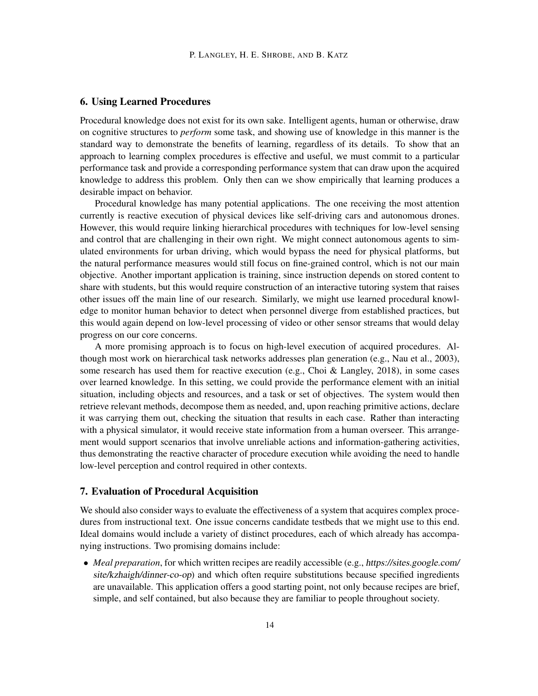## 6. Using Learned Procedures

Procedural knowledge does not exist for its own sake. Intelligent agents, human or otherwise, draw on cognitive structures to *perform* some task, and showing use of knowledge in this manner is the standard way to demonstrate the benefits of learning, regardless of its details. To show that an approach to learning complex procedures is effective and useful, we must commit to a particular performance task and provide a corresponding performance system that can draw upon the acquired knowledge to address this problem. Only then can we show empirically that learning produces a desirable impact on behavior.

Procedural knowledge has many potential applications. The one receiving the most attention currently is reactive execution of physical devices like self-driving cars and autonomous drones. However, this would require linking hierarchical procedures with techniques for low-level sensing and control that are challenging in their own right. We might connect autonomous agents to simulated environments for urban driving, which would bypass the need for physical platforms, but the natural performance measures would still focus on fine-grained control, which is not our main objective. Another important application is training, since instruction depends on stored content to share with students, but this would require construction of an interactive tutoring system that raises other issues off the main line of our research. Similarly, we might use learned procedural knowledge to monitor human behavior to detect when personnel diverge from established practices, but this would again depend on low-level processing of video or other sensor streams that would delay progress on our core concerns.

A more promising approach is to focus on high-level execution of acquired procedures. Although most work on hierarchical task networks addresses plan generation (e.g., Nau et al., 2003), some research has used them for reactive execution (e.g., Choi & Langley, 2018), in some cases over learned knowledge. In this setting, we could provide the performance element with an initial situation, including objects and resources, and a task or set of objectives. The system would then retrieve relevant methods, decompose them as needed, and, upon reaching primitive actions, declare it was carrying them out, checking the situation that results in each case. Rather than interacting with a physical simulator, it would receive state information from a human overseer. This arrangement would support scenarios that involve unreliable actions and information-gathering activities, thus demonstrating the reactive character of procedure execution while avoiding the need to handle low-level perception and control required in other contexts.

#### 7. Evaluation of Procedural Acquisition

We should also consider ways to evaluate the effectiveness of a system that acquires complex procedures from instructional text. One issue concerns candidate testbeds that we might use to this end. Ideal domains would include a variety of distinct procedures, each of which already has accompanying instructions. Two promising domains include:

• *Meal preparation*, for which written recipes are readily accessible (e.g., https://sites.google.com/ site/kzhaigh/dinner-co-op) and which often require substitutions because specified ingredients are unavailable. This application offers a good starting point, not only because recipes are brief, simple, and self contained, but also because they are familiar to people throughout society.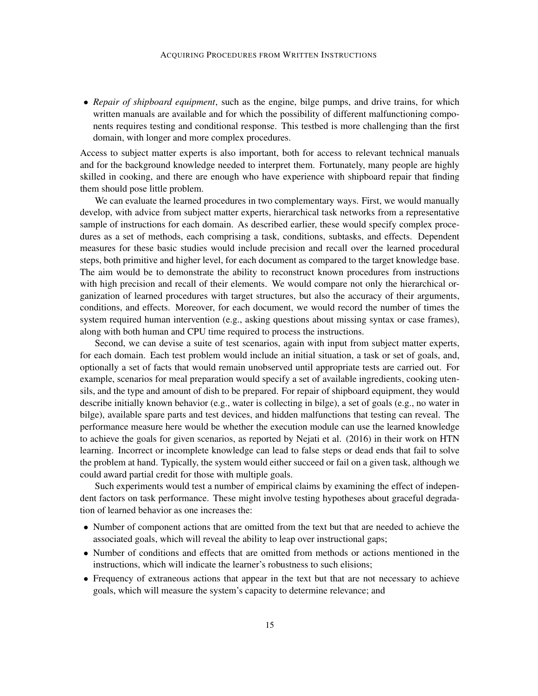• *Repair of shipboard equipment*, such as the engine, bilge pumps, and drive trains, for which written manuals are available and for which the possibility of different malfunctioning components requires testing and conditional response. This testbed is more challenging than the first domain, with longer and more complex procedures.

Access to subject matter experts is also important, both for access to relevant technical manuals and for the background knowledge needed to interpret them. Fortunately, many people are highly skilled in cooking, and there are enough who have experience with shipboard repair that finding them should pose little problem.

We can evaluate the learned procedures in two complementary ways. First, we would manually develop, with advice from subject matter experts, hierarchical task networks from a representative sample of instructions for each domain. As described earlier, these would specify complex procedures as a set of methods, each comprising a task, conditions, subtasks, and effects. Dependent measures for these basic studies would include precision and recall over the learned procedural steps, both primitive and higher level, for each document as compared to the target knowledge base. The aim would be to demonstrate the ability to reconstruct known procedures from instructions with high precision and recall of their elements. We would compare not only the hierarchical organization of learned procedures with target structures, but also the accuracy of their arguments, conditions, and effects. Moreover, for each document, we would record the number of times the system required human intervention (e.g., asking questions about missing syntax or case frames), along with both human and CPU time required to process the instructions.

Second, we can devise a suite of test scenarios, again with input from subject matter experts, for each domain. Each test problem would include an initial situation, a task or set of goals, and, optionally a set of facts that would remain unobserved until appropriate tests are carried out. For example, scenarios for meal preparation would specify a set of available ingredients, cooking utensils, and the type and amount of dish to be prepared. For repair of shipboard equipment, they would describe initially known behavior (e.g., water is collecting in bilge), a set of goals (e.g., no water in bilge), available spare parts and test devices, and hidden malfunctions that testing can reveal. The performance measure here would be whether the execution module can use the learned knowledge to achieve the goals for given scenarios, as reported by Nejati et al. (2016) in their work on HTN learning. Incorrect or incomplete knowledge can lead to false steps or dead ends that fail to solve the problem at hand. Typically, the system would either succeed or fail on a given task, although we could award partial credit for those with multiple goals.

Such experiments would test a number of empirical claims by examining the effect of independent factors on task performance. These might involve testing hypotheses about graceful degradation of learned behavior as one increases the:

- Number of component actions that are omitted from the text but that are needed to achieve the associated goals, which will reveal the ability to leap over instructional gaps;
- Number of conditions and effects that are omitted from methods or actions mentioned in the instructions, which will indicate the learner's robustness to such elisions;
- Frequency of extraneous actions that appear in the text but that are not necessary to achieve goals, which will measure the system's capacity to determine relevance; and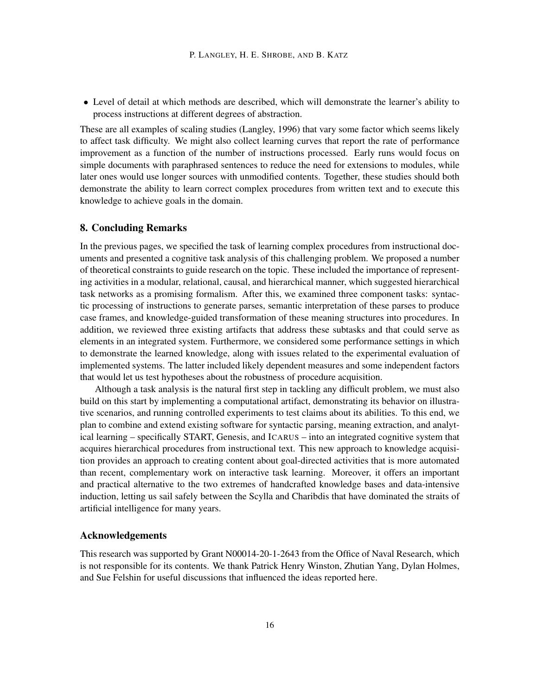• Level of detail at which methods are described, which will demonstrate the learner's ability to process instructions at different degrees of abstraction.

These are all examples of scaling studies (Langley, 1996) that vary some factor which seems likely to affect task difficulty. We might also collect learning curves that report the rate of performance improvement as a function of the number of instructions processed. Early runs would focus on simple documents with paraphrased sentences to reduce the need for extensions to modules, while later ones would use longer sources with unmodified contents. Together, these studies should both demonstrate the ability to learn correct complex procedures from written text and to execute this knowledge to achieve goals in the domain.

## 8. Concluding Remarks

In the previous pages, we specified the task of learning complex procedures from instructional documents and presented a cognitive task analysis of this challenging problem. We proposed a number of theoretical constraints to guide research on the topic. These included the importance of representing activities in a modular, relational, causal, and hierarchical manner, which suggested hierarchical task networks as a promising formalism. After this, we examined three component tasks: syntactic processing of instructions to generate parses, semantic interpretation of these parses to produce case frames, and knowledge-guided transformation of these meaning structures into procedures. In addition, we reviewed three existing artifacts that address these subtasks and that could serve as elements in an integrated system. Furthermore, we considered some performance settings in which to demonstrate the learned knowledge, along with issues related to the experimental evaluation of implemented systems. The latter included likely dependent measures and some independent factors that would let us test hypotheses about the robustness of procedure acquisition.

Although a task analysis is the natural first step in tackling any difficult problem, we must also build on this start by implementing a computational artifact, demonstrating its behavior on illustrative scenarios, and running controlled experiments to test claims about its abilities. To this end, we plan to combine and extend existing software for syntactic parsing, meaning extraction, and analytical learning – specifically START, Genesis, and ICARUS – into an integrated cognitive system that acquires hierarchical procedures from instructional text. This new approach to knowledge acquisition provides an approach to creating content about goal-directed activities that is more automated than recent, complementary work on interactive task learning. Moreover, it offers an important and practical alternative to the two extremes of handcrafted knowledge bases and data-intensive induction, letting us sail safely between the Scylla and Charibdis that have dominated the straits of artificial intelligence for many years.

#### Acknowledgements

This research was supported by Grant N00014-20-1-2643 from the Office of Naval Research, which is not responsible for its contents. We thank Patrick Henry Winston, Zhutian Yang, Dylan Holmes, and Sue Felshin for useful discussions that influenced the ideas reported here.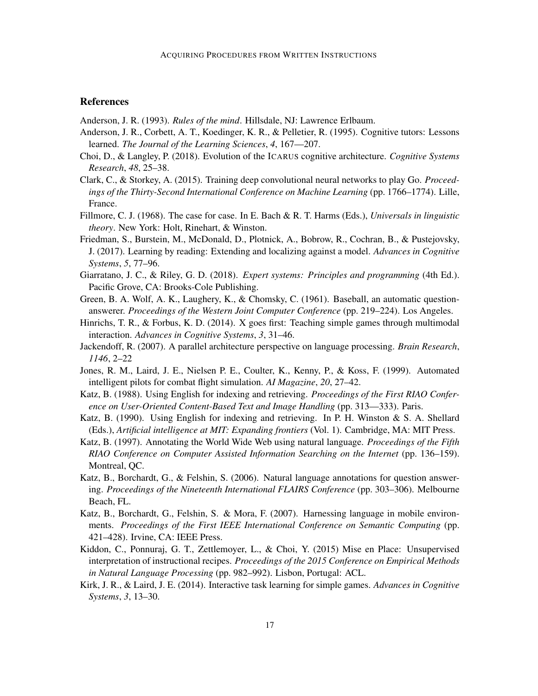## References

Anderson, J. R. (1993). *Rules of the mind*. Hillsdale, NJ: Lawrence Erlbaum.

- Anderson, J. R., Corbett, A. T., Koedinger, K. R., & Pelletier, R. (1995). Cognitive tutors: Lessons learned. *The Journal of the Learning Sciences*, *4*, 167—207.
- Choi, D., & Langley, P. (2018). Evolution of the ICARUS cognitive architecture. *Cognitive Systems Research*, *48*, 25–38.
- Clark, C., & Storkey, A. (2015). Training deep convolutional neural networks to play Go. *Proceedings of the Thirty-Second International Conference on Machine Learning* (pp. 1766–1774). Lille, France.
- Fillmore, C. J. (1968). The case for case. In E. Bach & R. T. Harms (Eds.), *Universals in linguistic theory*. New York: Holt, Rinehart, & Winston.
- Friedman, S., Burstein, M., McDonald, D., Plotnick, A., Bobrow, R., Cochran, B., & Pustejovsky, J. (2017). Learning by reading: Extending and localizing against a model. *Advances in Cognitive Systems*, *5*, 77–96.
- Giarratano, J. C., & Riley, G. D. (2018). *Expert systems: Principles and programming* (4th Ed.). Pacific Grove, CA: Brooks-Cole Publishing.
- Green, B. A. Wolf, A. K., Laughery, K., & Chomsky, C. (1961). Baseball, an automatic questionanswerer. *Proceedings of the Western Joint Computer Conference* (pp. 219–224). Los Angeles.
- Hinrichs, T. R., & Forbus, K. D. (2014). X goes first: Teaching simple games through multimodal interaction. *Advances in Cognitive Systems*, *3*, 31–46.
- Jackendoff, R. (2007). A parallel architecture perspective on language processing. *Brain Research*, *1146*, 2–22
- Jones, R. M., Laird, J. E., Nielsen P. E., Coulter, K., Kenny, P., & Koss, F. (1999). Automated intelligent pilots for combat flight simulation. *AI Magazine*, *20*, 27–42.
- Katz, B. (1988). Using English for indexing and retrieving. *Proceedings of the First RIAO Conference on User-Oriented Content-Based Text and Image Handling* (pp. 313—333). Paris.
- Katz, B. (1990). Using English for indexing and retrieving. In P. H. Winston & S. A. Shellard (Eds.), *Artificial intelligence at MIT: Expanding frontiers* (Vol. 1). Cambridge, MA: MIT Press.
- Katz, B. (1997). Annotating the World Wide Web using natural language. *Proceedings of the Fifth RIAO Conference on Computer Assisted Information Searching on the Internet* (pp. 136–159). Montreal, QC.
- Katz, B., Borchardt, G., & Felshin, S. (2006). Natural language annotations for question answering. *Proceedings of the Nineteenth International FLAIRS Conference* (pp. 303–306). Melbourne Beach, FL.
- Katz, B., Borchardt, G., Felshin, S. & Mora, F. (2007). Harnessing language in mobile environments. *Proceedings of the First IEEE International Conference on Semantic Computing* (pp. 421–428). Irvine, CA: IEEE Press.
- Kiddon, C., Ponnuraj, G. T., Zettlemoyer, L., & Choi, Y. (2015) Mise en Place: Unsupervised interpretation of instructional recipes. *Proceedings of the 2015 Conference on Empirical Methods in Natural Language Processing* (pp. 982–992). Lisbon, Portugal: ACL.
- Kirk, J. R., & Laird, J. E. (2014). Interactive task learning for simple games. *Advances in Cognitive Systems*, *3*, 13–30.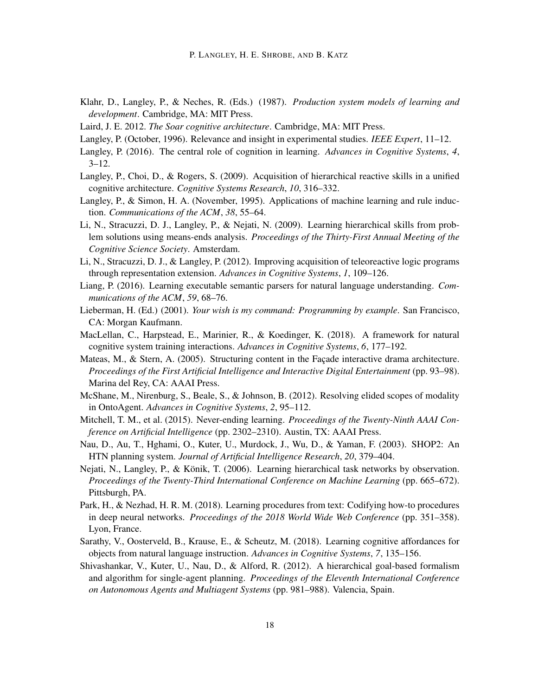- Klahr, D., Langley, P., & Neches, R. (Eds.) (1987). *Production system models of learning and development*. Cambridge, MA: MIT Press.
- Laird, J. E. 2012. *The Soar cognitive architecture*. Cambridge, MA: MIT Press.
- Langley, P. (October, 1996). Relevance and insight in experimental studies. *IEEE Expert*, 11–12.
- Langley, P. (2016). The central role of cognition in learning. *Advances in Cognitive Systems*, *4*,  $3 - 12.$
- Langley, P., Choi, D., & Rogers, S. (2009). Acquisition of hierarchical reactive skills in a unified cognitive architecture. *Cognitive Systems Research*, *10*, 316–332.
- Langley, P., & Simon, H. A. (November, 1995). Applications of machine learning and rule induction. *Communications of the ACM*, *38*, 55–64.
- Li, N., Stracuzzi, D. J., Langley, P., & Nejati, N. (2009). Learning hierarchical skills from problem solutions using means-ends analysis. *Proceedings of the Thirty-First Annual Meeting of the Cognitive Science Society*. Amsterdam.
- Li, N., Stracuzzi, D. J., & Langley, P. (2012). Improving acquisition of teleoreactive logic programs through representation extension. *Advances in Cognitive Systems*, *1*, 109–126.
- Liang, P. (2016). Learning executable semantic parsers for natural language understanding. *Communications of the ACM*, *59*, 68–76.
- Lieberman, H. (Ed.) (2001). *Your wish is my command: Programming by example*. San Francisco, CA: Morgan Kaufmann.
- MacLellan, C., Harpstead, E., Marinier, R., & Koedinger, K. (2018). A framework for natural cognitive system training interactions. *Advances in Cognitive Systems*, *6*, 177–192.
- Mateas, M., & Stern, A. (2005). Structuring content in the Façade interactive drama architecture. *Proceedings of the First Artificial Intelligence and Interactive Digital Entertainment* (pp. 93–98). Marina del Rey, CA: AAAI Press.
- McShane, M., Nirenburg, S., Beale, S., & Johnson, B. (2012). Resolving elided scopes of modality in OntoAgent. *Advances in Cognitive Systems*, *2*, 95–112.
- Mitchell, T. M., et al. (2015). Never-ending learning. *Proceedings of the Twenty-Ninth AAAI Conference on Artificial Intelligence* (pp. 2302–2310). Austin, TX: AAAI Press.
- Nau, D., Au, T., Hghami, O., Kuter, U., Murdock, J., Wu, D., & Yaman, F. (2003). SHOP2: An HTN planning system. *Journal of Artificial Intelligence Research*, *20*, 379–404.
- Nejati, N., Langley, P., & Könik, T. (2006). Learning hierarchical task networks by observation. *Proceedings of the Twenty-Third International Conference on Machine Learning* (pp. 665–672). Pittsburgh, PA.
- Park, H., & Nezhad, H. R. M. (2018). Learning procedures from text: Codifying how-to procedures in deep neural networks. *Proceedings of the 2018 World Wide Web Conference* (pp. 351–358). Lyon, France.
- Sarathy, V., Oosterveld, B., Krause, E., & Scheutz, M. (2018). Learning cognitive affordances for objects from natural language instruction. *Advances in Cognitive Systems*, *7*, 135–156.
- Shivashankar, V., Kuter, U., Nau, D., & Alford, R. (2012). A hierarchical goal-based formalism and algorithm for single-agent planning. *Proceedings of the Eleventh International Conference on Autonomous Agents and Multiagent Systems* (pp. 981–988). Valencia, Spain.